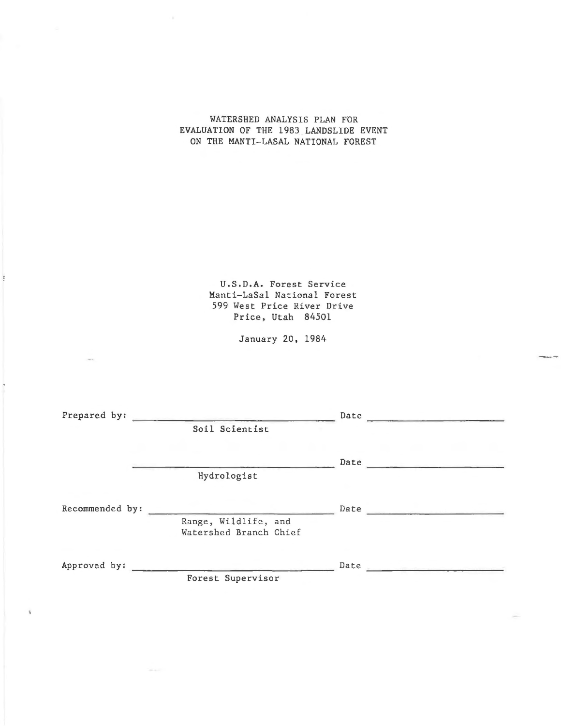# WATERSHED ANALYSIS PLAN FOR EVALUATION OF THE 1983 LANDSLIDE EVENT ON THE MANTI-LASAL NATIONAL FOREST

U.S.D.A. Forest Service Manti-LaSal National Forest 599 West Price River Drive Price, Utah 84501

January 20, 1984

| Prepared by:    | and all the control of the state of the control of the control of the control of the control of the control of | Date                                    |  |
|-----------------|----------------------------------------------------------------------------------------------------------------|-----------------------------------------|--|
|                 | Soil Scientist                                                                                                 |                                         |  |
|                 |                                                                                                                | Date                                    |  |
|                 | Hydrologist                                                                                                    |                                         |  |
| Recommended by: |                                                                                                                | Date                                    |  |
|                 | Range, Wildlife, and<br>Watershed Branch Chief                                                                 |                                         |  |
| Approved by:    |                                                                                                                | Date<br>and the state of the company of |  |
|                 | Forest Supervisor                                                                                              |                                         |  |
|                 |                                                                                                                |                                         |  |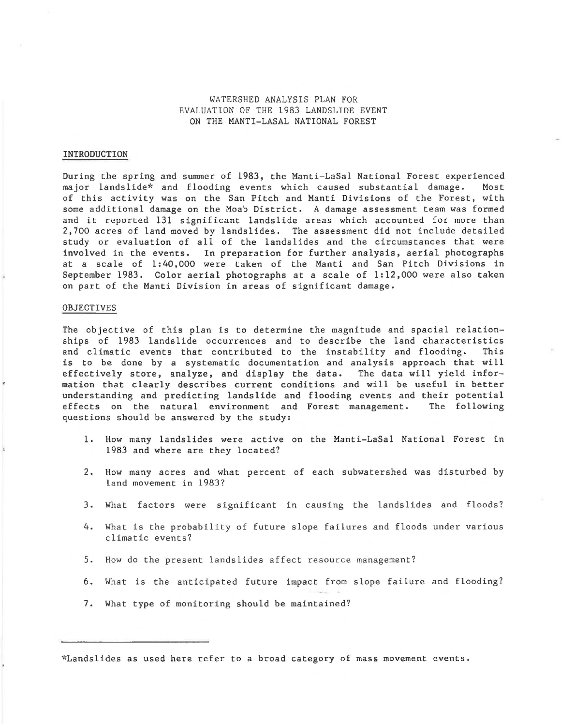WATERSHED ANALYSIS PLAN FOR EVALUATION OF THE 1983 LANDSLIDE EVENT ON THE MANTI-LASAL NATIONAL FOREST

## INTRODUCTION

During the spring and summer of 1983, the Manti-LaSal National Forest experienced major landslide\* and flooding events which caused substantial damage. Most of this activity was on the San Pitch and Manti Divisions of the Forest, with some additional damage on the Moab District. A damage assessment team was formed and it reported 131 significant landslide areas which accounted for more than 2,700 acres of land moved by landslides. The assessment did not include detailed study or evaluation of all of the landslides and the circumstances that were involved in the events. In preparation for further analysis, aerial photographs at a scale of 1:40,000 were taken of the Manti and San Pitch Divisions in September 1983. Color aerial photographs at a scale of 1:12,000 were also taken on part of the Manti Division in areas of significant damage.

### OBJECTIVES

The objective of this plan is to determine the magnitude and spacial relationships of 1983 landslide occurrences and to describe the land characteristics<br>and climatic events that contributed to the instability and flooding. This and climatic events that contributed to the instability and flooding. is to be done by a systematic documentation and analysis approach that will effectively store, analyze, and display the data. The data will yield information that clearly describes current conditions and will be useful in better understanding and predicting landslide and flooding events and their potential effects on the natural environment and Forest management. The following questions should be answered by the study:

- 1. How many landslides were active on the Manti-LaSal National Forest in 1983 and where are they located?
- 2. How many acres and what percent of each subwatershed was disturbed by land movement in 1983?
- 3. What factors were significant in causing the landslides and floods?
- 4. What is the probability of future slope failures and floods under various climatic events?
- 5. How do the present landslides affect resource management?
- 6. What is the anticipated future impact from slope failure and flooding?
- 7. What type of monitoring should be maintained?

\*Landslides as used here refer to a broad category of mass movement events.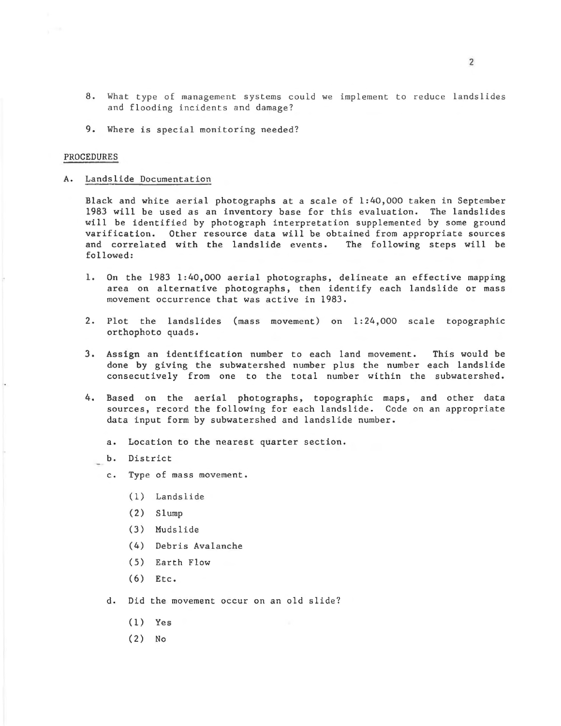- 8 . What type of management systems could we implement to reduce landslides and flooding incidents and damage?
- 9. Where is special monitoring needed?

#### PROCEDURES

#### A. Landslide Documentation

Black and white aerial photographs at a scale of 1:40,000 taken in September 1983 will be used as an inventory base for this evaluation. The landslides will be identified by photograph interpretation supplemented by some ground varification. Other resource data will be obtained from appropriate sources and correlated with the landslide events. The following steps will be followed:

- l. On the 1983 1:40,000 aerial photographs, delineate an effective mapping area on alternative photographs, then identify each landslide or mass movement occurrence that was active in 1983.
- 2. Plot the landslides (mass movement) on 1:24,000 scale topographic orthophoto quads.
- 3. Assign an identification number to each land movement. This would be done by giving the subwatershed number plus the number each landslide consecutively from one to the total number within the subwatershed.
- 4. Based on the aerial photographs, topographic maps, and other data sources, record the following for each landslide. Code on an appropriate data input form by subwatershed and landslide number.
	- a. Location to the nearest quarter section.
	- b. District
	- c. Type of mass movement.
		- (1) La ndslide
		- (2) Slump
		- (3) Mudslide
		- (4) Debris Avalanche
		- ( 5) Earth Flow
		- (6) Etc.
	- d. Did the movement occur on an old slide?
		- (1) Yes
		- (2) No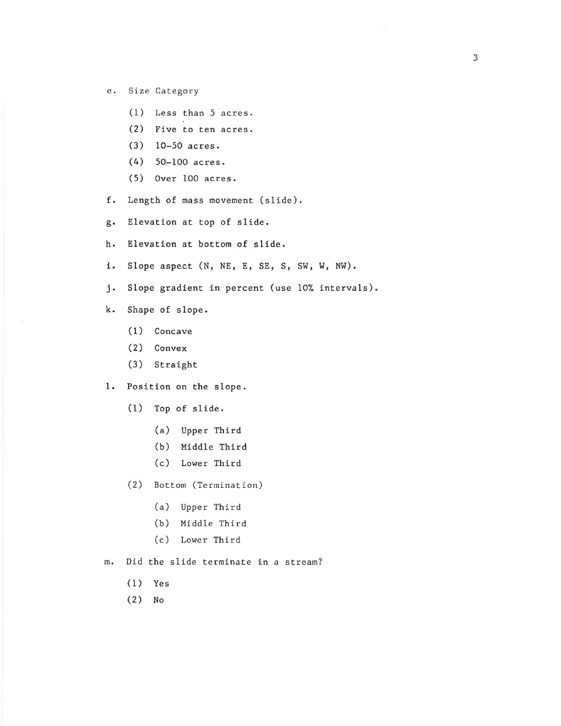- e. Size Category
	- (1) Less than 5 acres.
	- (2) Five to ten acres.
	- (3) 10-50 acres.
	- (4) 50-100 acres.
	- (5) Over 100 acres.
- f. Length of mass movement (slide).
- g. Elevation at top of slide.
- h. Elevation at bottom of slide.
- i. Slope aspect (N, NE, E, SE, S, SW, W, NW).
- j. Slope gradient in percent (use 10% intervals).
- k. Shape of slope.
	- (1) Concave
	- (2) Convex
	- (3) Straight
- 1. Position on the slope.
	- (1) Top of slide.
		- (a) Upper Third
		- (b) Middle Third
		- (c) Lower Third
	- (2) Bottom (Termination)
		- (a) Upper Third
		- (b) Middle Third
		- (c) Lower Third
- m. Did the slide terminate in a stream?
	- (1) Yes
	- (2) No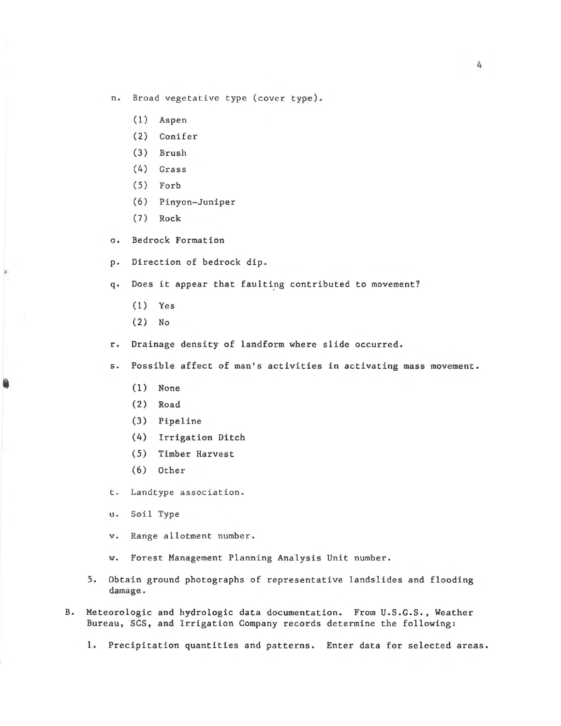n. Broad vegetative type (cover type) .

- (l) Aspen
- (2) Conifer
- (3) Brush
- (4) Grass
- (5) Forb
- (6) Pinyon-Juniper
- (7) Rock
- o. Bedrock Formation
- p. Direction of bedrock dip.

q. Does it appear that faulting contributed to movement?

- (1) Yes
- (2) No

r. Drainage density of landform where slide occurred.

s. Possible affect of man's activities in activating mass movement.

- (1) None
- (2) Road
- (3) Pipeline
- (4) Irrigation Ditch
- (5) Timber Harvest
- (6) Other

t. Landtype association.

- u. Soil Type
- v. Range allotment number.
- w. Forest Management Planning Analysis Unit number.
- 5. Obtain ground photographs of representative landslides and flooding damage.
- B. Meteorologic and hydrologic data documentation. From U.S.G.S., Weather Bureau, SCS, and Irrigation Company records determine the following:

1. Precipitation quantities and patterns. Enter data for selected areas.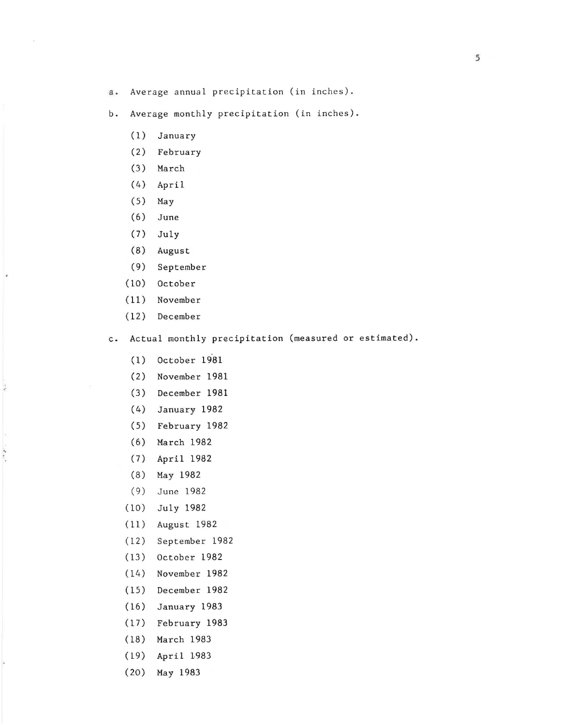- a. Average annual precipitation (in inches).
- b. Average monthly precipitation (in inches).
	- (1) January
	- (2) February
	- (3) March
	- (4) April
	- (5) May
	- (6) June
	- (7) July
	- (8) August
	- (9) September
	- (10) October
	- ( 11) November
	- (12) December

 $\frac{1}{2}$ 

 $\frac{1}{2} \int_{0}^{2\pi} \frac{1}{2} \, e^{-\frac{1}{2} \, \frac{1}{2}} \, e^{-\frac{1}{2} \, \frac{1}{2}} \, e^{-\frac{1}{2} \, \frac{1}{2}} \, e^{-\frac{1}{2} \, \frac{1}{2}} \, e^{-\frac{1}{2} \, \frac{1}{2}} \, e^{-\frac{1}{2} \, \frac{1}{2}} \, e^{-\frac{1}{2} \, \frac{1}{2}} \, e^{-\frac{1}{2} \, \frac{1}{2}} \, e^{-\frac{1}{2} \, \frac{1}{2}} \, e^{-\frac{1}{2} \, \frac{$ 

- c. Actual monthly precipitation (measured or estimated).
	- (1) October 1981
	- (2) November 1981
	- ( 3) December 1981
	- (4) January 1982
	- (5) February 1982
	- (6) March 1982
	- (7) April 1982
	- (8) May 1982
	- (9) June 1982
	- (10) July 1982
	- (11) August 1982
	- (12) September 1982
	- (13) October 1982
	- (14) November 1982
	- (15) December 1982
	- (16) January 1983
	- (17) February 1983
	- (18) March 1983
	- (19) April 1983
	- (20) May 1983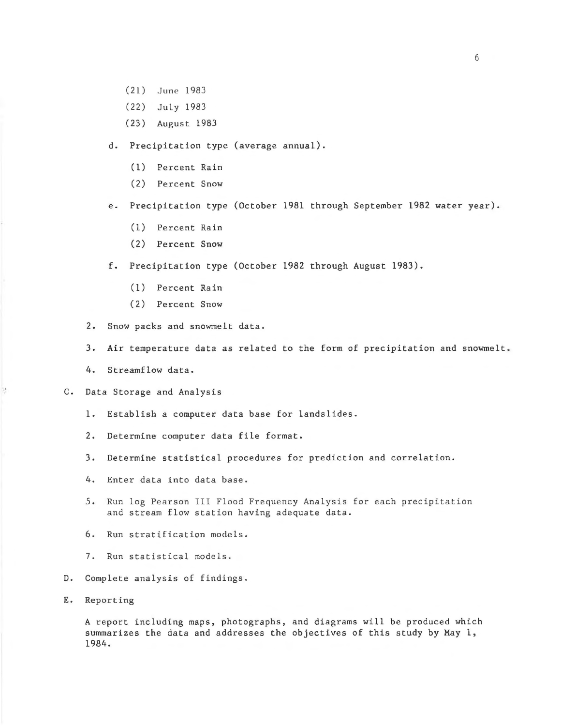- (21) June 1983
- (22) July 1983
- (23) August 1983

d. Precipitation type (average annual).

- (1) Percent Rain
- (2) Percent Snow

e. Precipitation type (October 1981 through September 1982 water year).

- (1) Percent Rain
- (2) Percent Snow

f. Precipitation type (October 1982 through August 1983).

- (1) Percent Rain
- (2) Percent Snow

2. Snow packs and snowmelt data.

- 3. Air temperature data as related to the form of precipitation and snowmelt .
- 4. Streamflow data.

C. Data Storage and Analysis

- 1. Establish a computer data base for landslides.
- 2. Determine computer data file format.
- 3. Determine statistical procedures for prediction and correlation.
- 4. Enter data into data base.
- 5. Run log Pearson III Flood Frequency Analysis for each precipitation and stream flow station having adequate data.
- 6. Run stratification models.
- 7. Run statistical models.
- D. Complete analysis of findings.
- E. Reporting

þ.

A report including maps, photographs, and diagrams will be produced which summarizes the data and addresses the objectives of this study by May l, 1984.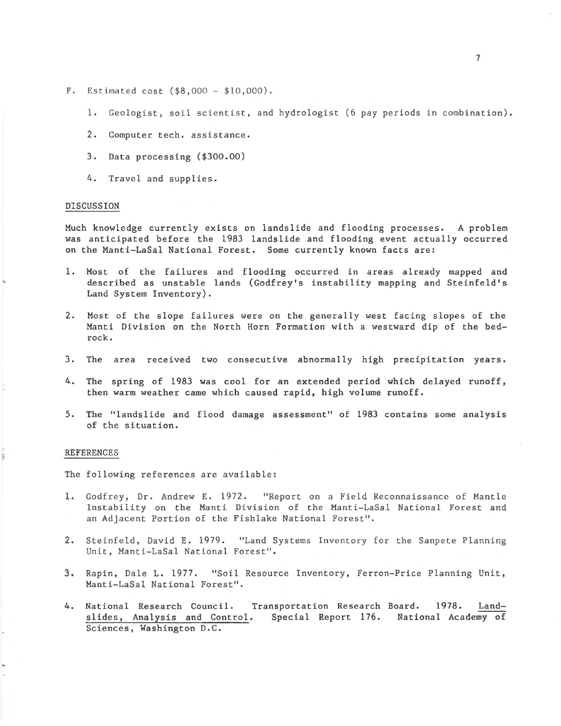- F. Estimated cost (\$8,000- \$10,000).
	- 1. Geologist, soil scientist, and hydrologist (6 pay periods in combination).
	- 2. Computer tech. assistance.
	- 3. Data processing (\$300.00)
	- 4. Travel and supplies.

### DISCUSSION

Much knowledge currently exists on landslide and flooding processes. A problem was anticipated before the 1983 landslide and flooding event actually occurred on the Manti-LaSal National Forest. Some currently known facts are:

- 1. Most of the failures and flooding occurred in areas already mapped and described as unstable lands (Godfrey's instability mapping and Steinfeld's Land System Inventory).
- 2. Most of the slope failures were on the generally west facing slopes of the Manti Division on the North Horn Formation with a westward dip of the bedrock.
- 3. The area received two consecutive abnormally high precipitation years.
- 4. The spring of 1983 was cool for an extended period which delayed runoff, then warm weather came which caused rapid, high volume runoff.
- *S.* The "landslide and flood damage assessment" of 1983 contains some analysis of the situation.

#### REFERENCES

i,

The following references are available:

- 1. Godfrey, Dr. Andrew E. 1972. "Report on a Field Reconnaissance of Mantle Instability on the Manti Division of the Manti-LaSal National Forest and an Adjacent Portion of the Fishlake National Forest".
- 2 . Steinfeld, David E. 1979. "Land Systems Inventory for the Sanpete Planning Unit, Manti-LaSal National Forest".
- 3 . Rapin, Dale L. 1977. "Soil Resource Inventory, Ferron-Price Planning Unit, Manti-LaSal National Forest".
- 4. National Research Council. Transportation Research Board. 1978. Landslides, Analysis and Control. Special Report 176. National Academy of Sciences, Washington D.C.